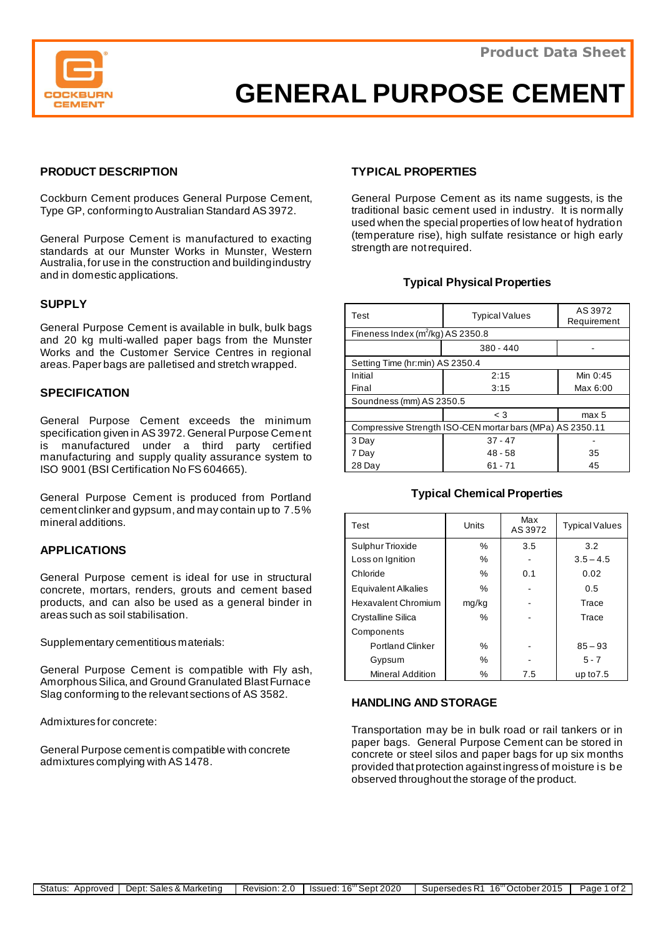

# **GENERAL PURPOSE CEMENT**

## **PRODUCT DESCRIPTION**

Cockburn Cement produces General Purpose Cement, Type GP, conforming to Australian Standard AS 3972.

General Purpose Cement is manufactured to exacting standards at our Munster Works in Munster, Western Australia,for use in the construction and building industry and in domestic applications.

## **SUPPLY**

General Purpose Cement is available in bulk, bulk bags and 20 kg multi-walled paper bags from the Munster Works and the Customer Service Centres in regional areas. Paper bags are palletised and stretch wrapped.

#### **SPECIFICATION**

General Purpose Cement exceeds the minimum specification given in AS 3972. General Purpose Cement is manufactured under a third party certified manufacturing and supply quality assurance system to ISO 9001 (BSI Certification No FS 604665).

General Purpose Cement is produced from Portland cement clinker and gypsum, and may contain up to 7.5% mineral additions.

## **APPLICATIONS**

General Purpose cement is ideal for use in structural concrete, mortars, renders, grouts and cement based products, and can also be used as a general binder in areas such as soil stabilisation.

Supplementary cementitious materials:

General Purpose Cement is compatible with Fly ash, Amorphous Silica, and Ground Granulated Blast Furnace Slag conforming to the relevant sections of AS 3582.

Admixtures for concrete:

General Purpose cement is compatible with concrete admixtures complying with AS 1478.

#### **TYPICAL PROPERTIES**

General Purpose Cement as its name suggests, is the traditional basic cement used in industry. It is normally used when the special properties of low heat of hydration (temperature rise), high sulfate resistance or high early strength are not required.

#### **Typical Physical Properties**

| Test                                                      | <b>Typical Values</b> | AS 3972<br>Requirement |  |  |
|-----------------------------------------------------------|-----------------------|------------------------|--|--|
| Fineness Index $(m^2/kg)$ AS 2350.8                       |                       |                        |  |  |
|                                                           | $380 - 440$           |                        |  |  |
| Setting Time (hr:min) AS 2350.4                           |                       |                        |  |  |
| Initial                                                   | 2:15                  | Min $0:45$             |  |  |
| Final                                                     | 3:15                  | Max 6:00               |  |  |
| Soundness (mm) AS 2350.5                                  |                       |                        |  |  |
|                                                           | $\leq 3$              | max 5                  |  |  |
| Compressive Strength ISO-CEN mortar bars (MPa) AS 2350.11 |                       |                        |  |  |
| 3 Day                                                     | $37 - 47$             |                        |  |  |
| 7 Day                                                     | $48 - 58$             | 35                     |  |  |
| 28 Dav                                                    | $61 - 71$             | 45                     |  |  |

#### **Typical Chemical Properties**

| Test                       | Units | Max<br>AS 3972 | <b>Typical Values</b> |
|----------------------------|-------|----------------|-----------------------|
| Sulphur Trioxide           | %     | 3.5            | 3.2                   |
| Loss on Ignition           | %     |                | $3.5 - 4.5$           |
| Chloride                   | $\%$  | 0.1            | 0.02                  |
| <b>Equivalent Alkalies</b> | $\%$  |                | 0.5                   |
| Hexavalent Chromium        | mg/kg |                | Trace                 |
| Crystalline Silica         | $\%$  |                | Trace                 |
| Components                 |       |                |                       |
| <b>Portland Clinker</b>    | $\%$  |                | $85 - 93$             |
| Gypsum                     | $\%$  |                | $5 - 7$               |
| <b>Mineral Addition</b>    | ℅     | 7.5            | up to $7.5$           |

#### **HANDLING AND STORAGE**

Transportation may be in bulk road or rail tankers or in paper bags. General Purpose Cement can be stored in concrete or steel silos and paper bags for up six months provided that protection against ingress of moisture is be observed throughout the storage of the product.